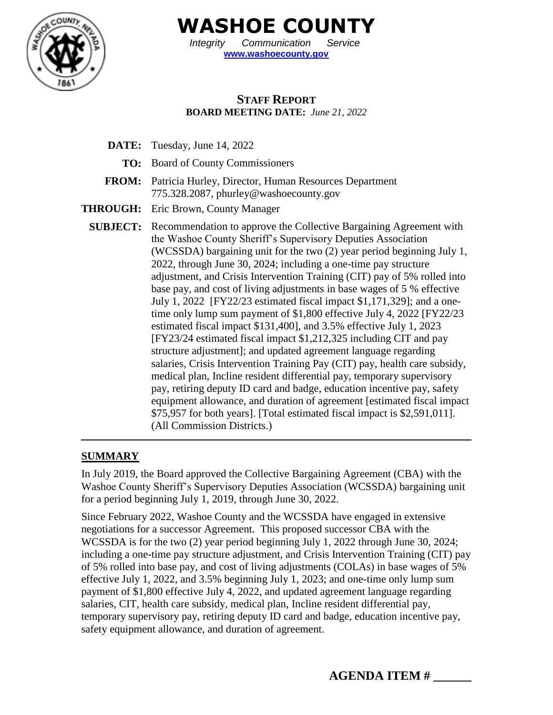

**WASHOE COUNTY**

*Integrity Communication Service* **[www.washoecounty.gov](http://www.washoecounty.gov/)**

## **STAFF REPORT BOARD MEETING DATE:** *June 21, 2022*

- **DATE:** Tuesday, June 14, 2022
	- **TO:** Board of County Commissioners
- **FROM:** Patricia Hurley, Director, Human Resources Department 775.328.2087, phurley@washoecounty.gov
- **THROUGH:** Eric Brown, County Manager
	- **SUBJECT:** Recommendation to approve the Collective Bargaining Agreement with the Washoe County Sheriff's Supervisory Deputies Association (WCSSDA) bargaining unit for the two (2) year period beginning July 1, 2022, through June 30, 2024; including a one-time pay structure adjustment, and Crisis Intervention Training (CIT) pay of 5% rolled into base pay, and cost of living adjustments in base wages of 5 % effective July 1, 2022 [FY22/23 estimated fiscal impact \$1,171,329]; and a onetime only lump sum payment of \$1,800 effective July 4, 2022 [FY22/23 estimated fiscal impact \$131,400], and 3.5% effective July 1, 2023 [FY23/24 estimated fiscal impact \$1,212,325 including CIT and pay structure adjustment]; and updated agreement language regarding salaries, Crisis Intervention Training Pay (CIT) pay, health care subsidy, medical plan, Incline resident differential pay, temporary supervisory pay, retiring deputy ID card and badge, education incentive pay, safety equipment allowance, and duration of agreement [estimated fiscal impact \$75,957 for both years]. [Total estimated fiscal impact is \$2,591,011]. (All Commission Districts.)

#### **SUMMARY**

In July 2019, the Board approved the Collective Bargaining Agreement (CBA) with the Washoe County Sheriff's Supervisory Deputies Association (WCSSDA) bargaining unit for a period beginning July 1, 2019, through June 30, 2022.

Since February 2022, Washoe County and the WCSSDA have engaged in extensive negotiations for a successor Agreement. This proposed successor CBA with the WCSSDA is for the two (2) year period beginning July 1, 2022 through June 30, 2024; including a one-time pay structure adjustment, and Crisis Intervention Training (CIT) pay of 5% rolled into base pay, and cost of living adjustments (COLAs) in base wages of 5% effective July 1, 2022, and 3.5% beginning July 1, 2023; and one-time only lump sum payment of \$1,800 effective July 4, 2022, and updated agreement language regarding salaries, CIT, health care subsidy, medical plan, Incline resident differential pay, temporary supervisory pay, retiring deputy ID card and badge, education incentive pay, safety equipment allowance, and duration of agreement.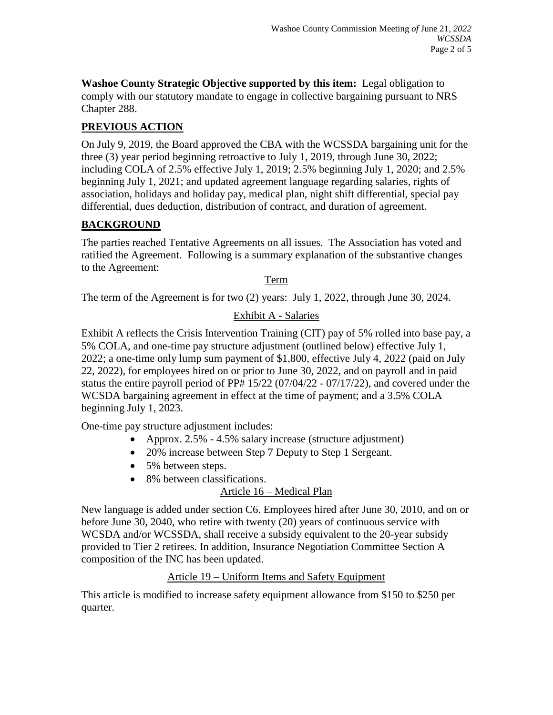**Washoe County Strategic Objective supported by this item:** Legal obligation to comply with our statutory mandate to engage in collective bargaining pursuant to NRS Chapter 288.

# **PREVIOUS ACTION**

On July 9, 2019, the Board approved the CBA with the WCSSDA bargaining unit for the three (3) year period beginning retroactive to July 1, 2019, through June 30, 2022; including COLA of 2.5% effective July 1, 2019; 2.5% beginning July 1, 2020; and 2.5% beginning July 1, 2021; and updated agreement language regarding salaries, rights of association, holidays and holiday pay, medical plan, night shift differential, special pay differential, dues deduction, distribution of contract, and duration of agreement.

## **BACKGROUND**

The parties reached Tentative Agreements on all issues. The Association has voted and ratified the Agreement. Following is a summary explanation of the substantive changes to the Agreement:

#### Term

The term of the Agreement is for two (2) years: July 1, 2022, through June 30, 2024.

## Exhibit A - Salaries

Exhibit A reflects the Crisis Intervention Training (CIT) pay of 5% rolled into base pay, a 5% COLA, and one-time pay structure adjustment (outlined below) effective July 1, 2022; a one-time only lump sum payment of \$1,800, effective July 4, 2022 (paid on July 22, 2022), for employees hired on or prior to June 30, 2022, and on payroll and in paid status the entire payroll period of PP# 15/22 (07/04/22 - 07/17/22), and covered under the WCSDA bargaining agreement in effect at the time of payment; and a 3.5% COLA beginning July 1, 2023.

One-time pay structure adjustment includes:

- Approx. 2.5% 4.5% salary increase (structure adjustment)
- 20% increase between Step 7 Deputy to Step 1 Sergeant.
- 5% between steps.
- 8% between classifications.

# Article 16 – Medical Plan

New language is added under section C6. Employees hired after June 30, 2010, and on or before June 30, 2040, who retire with twenty (20) years of continuous service with WCSDA and/or WCSSDA, shall receive a subsidy equivalent to the 20-year subsidy provided to Tier 2 retirees. In addition, Insurance Negotiation Committee Section A composition of the INC has been updated.

#### Article 19 – Uniform Items and Safety Equipment

This article is modified to increase safety equipment allowance from \$150 to \$250 per quarter.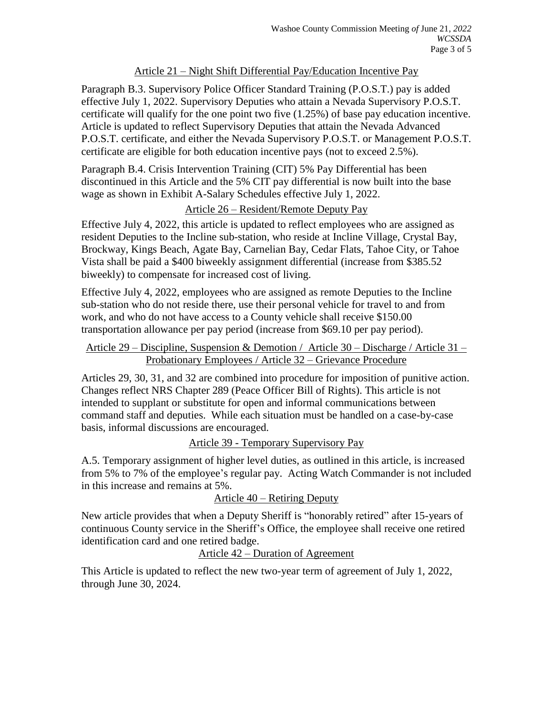#### Article 21 – Night Shift Differential Pay/Education Incentive Pay

Paragraph B.3. Supervisory Police Officer Standard Training (P.O.S.T.) pay is added effective July 1, 2022. Supervisory Deputies who attain a Nevada Supervisory P.O.S.T. certificate will qualify for the one point two five (1.25%) of base pay education incentive. Article is updated to reflect Supervisory Deputies that attain the Nevada Advanced P.O.S.T. certificate, and either the Nevada Supervisory P.O.S.T. or Management P.O.S.T. certificate are eligible for both education incentive pays (not to exceed 2.5%).

Paragraph B.4. Crisis Intervention Training (CIT) 5% Pay Differential has been discontinued in this Article and the 5% CIT pay differential is now built into the base wage as shown in Exhibit A-Salary Schedules effective July 1, 2022.

### Article 26 – Resident/Remote Deputy Pay

Effective July 4, 2022, this article is updated to reflect employees who are assigned as resident Deputies to the Incline sub-station, who reside at Incline Village, Crystal Bay, Brockway, Kings Beach, Agate Bay, Carnelian Bay, Cedar Flats, Tahoe City, or Tahoe Vista shall be paid a \$400 biweekly assignment differential (increase from \$385.52 biweekly) to compensate for increased cost of living.

Effective July 4, 2022, employees who are assigned as remote Deputies to the Incline sub-station who do not reside there, use their personal vehicle for travel to and from work, and who do not have access to a County vehicle shall receive \$150.00 transportation allowance per pay period (increase from \$69.10 per pay period).

#### Article 29 – Discipline, Suspension & Demotion / Article 30 – Discharge / Article 31 – Probationary Employees / Article 32 – Grievance Procedure

Articles 29, 30, 31, and 32 are combined into procedure for imposition of punitive action. Changes reflect NRS Chapter 289 (Peace Officer Bill of Rights). This article is not intended to supplant or substitute for open and informal communications between command staff and deputies. While each situation must be handled on a case-by-case basis, informal discussions are encouraged.

#### Article 39 - Temporary Supervisory Pay

A.5. Temporary assignment of higher level duties, as outlined in this article, is increased from 5% to 7% of the employee's regular pay. Acting Watch Commander is not included in this increase and remains at 5%.

Article 40 – Retiring Deputy

New article provides that when a Deputy Sheriff is "honorably retired" after 15-years of continuous County service in the Sheriff's Office, the employee shall receive one retired identification card and one retired badge.

#### Article 42 – Duration of Agreement

This Article is updated to reflect the new two-year term of agreement of July 1, 2022, through June 30, 2024.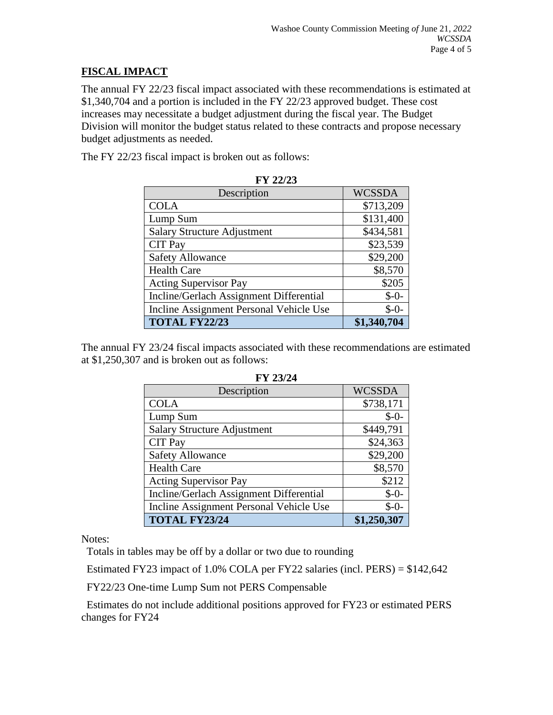## **FISCAL IMPACT**

The annual FY 22/23 fiscal impact associated with these recommendations is estimated at \$1,340,704 and a portion is included in the FY 22/23 approved budget. These cost increases may necessitate a budget adjustment during the fiscal year. The Budget Division will monitor the budget status related to these contracts and propose necessary budget adjustments as needed.

The FY 22/23 fiscal impact is broken out as follows:

| 1' 1' 441 4J                            |               |  |
|-----------------------------------------|---------------|--|
| Description                             | <b>WCSSDA</b> |  |
| <b>COLA</b>                             | \$713,209     |  |
| Lump Sum                                | \$131,400     |  |
| <b>Salary Structure Adjustment</b>      | \$434,581     |  |
| <b>CIT Pay</b>                          | \$23,539      |  |
| <b>Safety Allowance</b>                 | \$29,200      |  |
| <b>Health Care</b>                      | \$8,570       |  |
| <b>Acting Supervisor Pay</b>            | \$205         |  |
| Incline/Gerlach Assignment Differential | $$ -0-$       |  |
| Incline Assignment Personal Vehicle Use | $$ -0-$       |  |
| <b>TOTAL FY22/23</b>                    | \$1,340,704   |  |

| ГV. | רורי<br>۰<br>441 L. |
|-----|---------------------|
|-----|---------------------|

The annual FY 23/24 fiscal impacts associated with these recommendations are estimated at \$1,250,307 and is broken out as follows:

| I 1 <i>4ji 4</i> t                      |               |  |
|-----------------------------------------|---------------|--|
| Description                             | <b>WCSSDA</b> |  |
| <b>COLA</b>                             | \$738,171     |  |
| Lump Sum                                | $$ -0-$       |  |
| <b>Salary Structure Adjustment</b>      | \$449,791     |  |
| <b>CIT Pay</b>                          | \$24,363      |  |
| <b>Safety Allowance</b>                 | \$29,200      |  |
| <b>Health Care</b>                      | \$8,570       |  |
| <b>Acting Supervisor Pay</b>            | \$212         |  |
| Incline/Gerlach Assignment Differential | $$ -0-$       |  |
| Incline Assignment Personal Vehicle Use | $$ -0-$       |  |
| <b>TOTAL FY23/24</b>                    | \$1,250,307   |  |

**FY 23/24**

Notes:

Totals in tables may be off by a dollar or two due to rounding

Estimated FY23 impact of 1.0% COLA per FY22 salaries (incl. PERS) = \$142,642

FY22/23 One-time Lump Sum not PERS Compensable

Estimates do not include additional positions approved for FY23 or estimated PERS changes for FY24